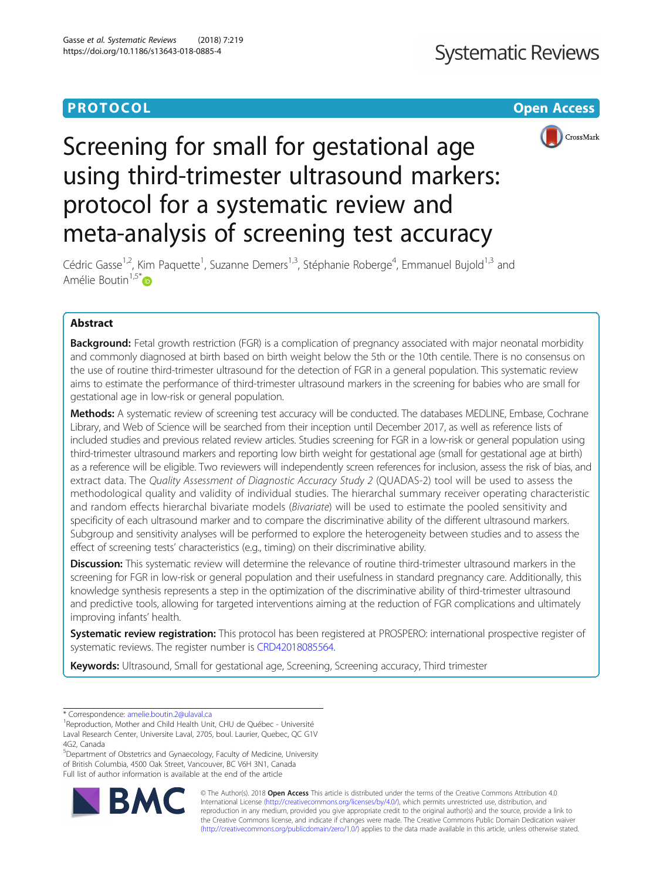# **PROTOCOL CONSUMING THE OPEN ACCESS**



# Screening for small for gestational age using third-trimester ultrasound markers: protocol for a systematic review and meta-analysis of screening test accuracy

Cédric Gasse<sup>1,2</sup>, Kim Paquette<sup>1</sup>, Suzanne Demers<sup>1,3</sup>, Stéphanie Roberge<sup>4</sup>, Emmanuel Bujold<sup>1,3</sup> and Amélie Boutin $1.5^{*}$ D

# Abstract

**Background:** Fetal growth restriction (FGR) is a complication of pregnancy associated with major neonatal morbidity and commonly diagnosed at birth based on birth weight below the 5th or the 10th centile. There is no consensus on the use of routine third-trimester ultrasound for the detection of FGR in a general population. This systematic review aims to estimate the performance of third-trimester ultrasound markers in the screening for babies who are small for gestational age in low-risk or general population.

Methods: A systematic review of screening test accuracy will be conducted. The databases MEDLINE, Embase, Cochrane Library, and Web of Science will be searched from their inception until December 2017, as well as reference lists of included studies and previous related review articles. Studies screening for FGR in a low-risk or general population using third-trimester ultrasound markers and reporting low birth weight for gestational age (small for gestational age at birth) as a reference will be eligible. Two reviewers will independently screen references for inclusion, assess the risk of bias, and extract data. The Quality Assessment of Diagnostic Accuracy Study 2 (QUADAS-2) tool will be used to assess the methodological quality and validity of individual studies. The hierarchal summary receiver operating characteristic and random effects hierarchal bivariate models (Bivariate) will be used to estimate the pooled sensitivity and specificity of each ultrasound marker and to compare the discriminative ability of the different ultrasound markers. Subgroup and sensitivity analyses will be performed to explore the heterogeneity between studies and to assess the effect of screening tests' characteristics (e.g., timing) on their discriminative ability.

Discussion: This systematic review will determine the relevance of routine third-trimester ultrasound markers in the screening for FGR in low-risk or general population and their usefulness in standard pregnancy care. Additionally, this knowledge synthesis represents a step in the optimization of the discriminative ability of third-trimester ultrasound and predictive tools, allowing for targeted interventions aiming at the reduction of FGR complications and ultimately improving infants' health.

**Systematic review registration:** This protocol has been registered at PROSPERO: international prospective register of systematic reviews. The register number is [CRD42018085564.](https://www.crd.york.ac.uk/prospero/display_record.php?RecordID=85564)

Keywords: Ultrasound, Small for gestational age, Screening, Screening accuracy, Third trimester

<sup>5</sup>Department of Obstetrics and Gynaecology, Faculty of Medicine, University of British Columbia, 4500 Oak Street, Vancouver, BC V6H 3N1, Canada Full list of author information is available at the end of the article



© The Author(s). 2018 Open Access This article is distributed under the terms of the Creative Commons Attribution 4.0 International License [\(http://creativecommons.org/licenses/by/4.0/](http://creativecommons.org/licenses/by/4.0/)), which permits unrestricted use, distribution, and reproduction in any medium, provided you give appropriate credit to the original author(s) and the source, provide a link to the Creative Commons license, and indicate if changes were made. The Creative Commons Public Domain Dedication waiver [\(http://creativecommons.org/publicdomain/zero/1.0/](http://creativecommons.org/publicdomain/zero/1.0/)) applies to the data made available in this article, unless otherwise stated.

<sup>\*</sup> Correspondence: [amelie.boutin.2@ulaval.ca](mailto:amelie.boutin.2@ulaval.ca) <sup>1</sup>

<sup>&</sup>lt;sup>1</sup>Reproduction, Mother and Child Health Unit, CHU de Québec - Université Laval Research Center, Universite Laval, 2705, boul. Laurier, Quebec, QC G1V 4G2, Canada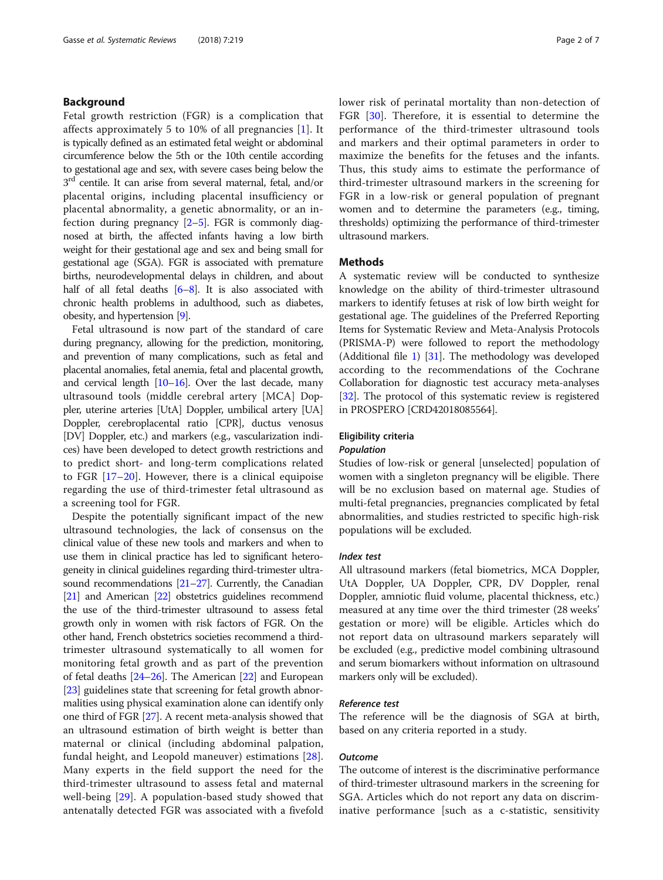# Background

Fetal growth restriction (FGR) is a complication that affects approximately 5 to 10% of all pregnancies [\[1](#page-5-0)]. It is typically defined as an estimated fetal weight or abdominal circumference below the 5th or the 10th centile according to gestational age and sex, with severe cases being below the 3<sup>rd</sup> centile. It can arise from several maternal, fetal, and/or placental origins, including placental insufficiency or placental abnormality, a genetic abnormality, or an infection during pregnancy [[2](#page-5-0)–[5\]](#page-5-0). FGR is commonly diagnosed at birth, the affected infants having a low birth weight for their gestational age and sex and being small for gestational age (SGA). FGR is associated with premature births, neurodevelopmental delays in children, and about half of all fetal deaths [\[6](#page-5-0)–[8\]](#page-6-0). It is also associated with chronic health problems in adulthood, such as diabetes, obesity, and hypertension [[9](#page-6-0)].

Fetal ultrasound is now part of the standard of care during pregnancy, allowing for the prediction, monitoring, and prevention of many complications, such as fetal and placental anomalies, fetal anemia, fetal and placental growth, and cervical length  $[10-16]$  $[10-16]$  $[10-16]$  $[10-16]$ . Over the last decade, many ultrasound tools (middle cerebral artery [MCA] Doppler, uterine arteries [UtA] Doppler, umbilical artery [UA] Doppler, cerebroplacental ratio [CPR], ductus venosus [DV] Doppler, etc.) and markers (e.g., vascularization indices) have been developed to detect growth restrictions and to predict short- and long-term complications related to FGR  $[17–20]$  $[17–20]$  $[17–20]$  $[17–20]$  $[17–20]$ . However, there is a clinical equipoise regarding the use of third-trimester fetal ultrasound as a screening tool for FGR.

Despite the potentially significant impact of the new ultrasound technologies, the lack of consensus on the clinical value of these new tools and markers and when to use them in clinical practice has led to significant heterogeneity in clinical guidelines regarding third-trimester ultrasound recommendations  $[21-27]$  $[21-27]$  $[21-27]$ . Currently, the Canadian [[21](#page-6-0)] and American [\[22\]](#page-6-0) obstetrics guidelines recommend the use of the third-trimester ultrasound to assess fetal growth only in women with risk factors of FGR. On the other hand, French obstetrics societies recommend a thirdtrimester ultrasound systematically to all women for monitoring fetal growth and as part of the prevention of fetal deaths [\[24](#page-6-0)–[26](#page-6-0)]. The American [\[22\]](#page-6-0) and European [[23](#page-6-0)] guidelines state that screening for fetal growth abnormalities using physical examination alone can identify only one third of FGR [[27](#page-6-0)]. A recent meta-analysis showed that an ultrasound estimation of birth weight is better than maternal or clinical (including abdominal palpation, fundal height, and Leopold maneuver) estimations [[28](#page-6-0)]. Many experts in the field support the need for the third-trimester ultrasound to assess fetal and maternal well-being [[29\]](#page-6-0). A population-based study showed that antenatally detected FGR was associated with a fivefold lower risk of perinatal mortality than non-detection of FGR [[30\]](#page-6-0). Therefore, it is essential to determine the performance of the third-trimester ultrasound tools and markers and their optimal parameters in order to maximize the benefits for the fetuses and the infants. Thus, this study aims to estimate the performance of third-trimester ultrasound markers in the screening for FGR in a low-risk or general population of pregnant women and to determine the parameters (e.g., timing, thresholds) optimizing the performance of third-trimester ultrasound markers.

#### **Methods**

A systematic review will be conducted to synthesize knowledge on the ability of third-trimester ultrasound markers to identify fetuses at risk of low birth weight for gestational age. The guidelines of the Preferred Reporting Items for Systematic Review and Meta-Analysis Protocols (PRISMA-P) were followed to report the methodology (Additional file [1\)](#page-5-0) [[31](#page-6-0)]. The methodology was developed according to the recommendations of the Cochrane Collaboration for diagnostic test accuracy meta-analyses [[32](#page-6-0)]. The protocol of this systematic review is registered in PROSPERO [CRD42018085564].

# Eligibility criteria

#### Population

Studies of low-risk or general [unselected] population of women with a singleton pregnancy will be eligible. There will be no exclusion based on maternal age. Studies of multi-fetal pregnancies, pregnancies complicated by fetal abnormalities, and studies restricted to specific high-risk populations will be excluded.

#### Index test

All ultrasound markers (fetal biometrics, MCA Doppler, UtA Doppler, UA Doppler, CPR, DV Doppler, renal Doppler, amniotic fluid volume, placental thickness, etc.) measured at any time over the third trimester (28 weeks' gestation or more) will be eligible. Articles which do not report data on ultrasound markers separately will be excluded (e.g., predictive model combining ultrasound and serum biomarkers without information on ultrasound markers only will be excluded).

## Reference test

The reference will be the diagnosis of SGA at birth, based on any criteria reported in a study.

# **Outcome**

The outcome of interest is the discriminative performance of third-trimester ultrasound markers in the screening for SGA. Articles which do not report any data on discriminative performance [such as a c-statistic, sensitivity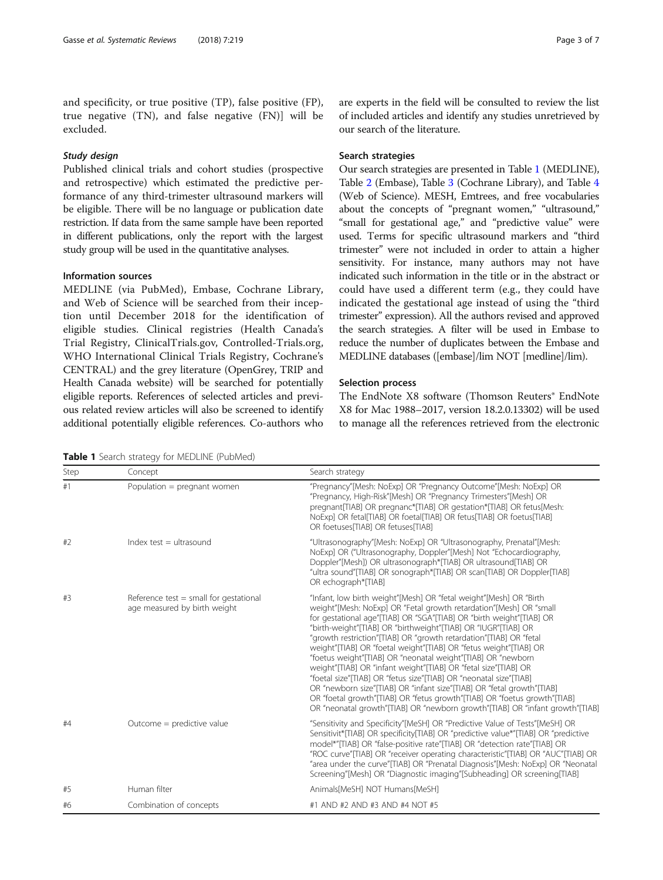and specificity, or true positive (TP), false positive (FP), true negative (TN), and false negative (FN)] will be excluded.

# Study design

Published clinical trials and cohort studies (prospective and retrospective) which estimated the predictive performance of any third-trimester ultrasound markers will be eligible. There will be no language or publication date restriction. If data from the same sample have been reported in different publications, only the report with the largest study group will be used in the quantitative analyses.

#### Information sources

MEDLINE (via PubMed), Embase, Cochrane Library, and Web of Science will be searched from their inception until December 2018 for the identification of eligible studies. Clinical registries (Health Canada's Trial Registry, ClinicalTrials.gov, Controlled-Trials.org, WHO International Clinical Trials Registry, Cochrane's CENTRAL) and the grey literature (OpenGrey, TRIP and Health Canada website) will be searched for potentially eligible reports. References of selected articles and previous related review articles will also be screened to identify additional potentially eligible references. Co-authors who are experts in the field will be consulted to review the list of included articles and identify any studies unretrieved by our search of the literature.

# Search strategies

Our search strategies are presented in Table 1 (MEDLINE), Table [2](#page-3-0) (Embase), Table [3](#page-3-0) (Cochrane Library), and Table [4](#page-4-0) (Web of Science). MESH, Emtrees, and free vocabularies about the concepts of "pregnant women," "ultrasound," "small for gestational age," and "predictive value" were used. Terms for specific ultrasound markers and "third trimester" were not included in order to attain a higher sensitivity. For instance, many authors may not have indicated such information in the title or in the abstract or could have used a different term (e.g., they could have indicated the gestational age instead of using the "third trimester" expression). All the authors revised and approved the search strategies. A filter will be used in Embase to reduce the number of duplicates between the Embase and MEDLINE databases ([embase]/lim NOT [medline]/lim).

# Selection process

The EndNote X8 software (Thomson Reuters<sup>®</sup> EndNote X8 for Mac 1988–2017, version 18.2.0.13302) will be used to manage all the references retrieved from the electronic

| Step | Concept                                                                  | Search strategy                                                                                                                                                                                                                                                                                                                                                                                                                                                                                                                                                                                                                                                                                                                                                                                                                                                                           |
|------|--------------------------------------------------------------------------|-------------------------------------------------------------------------------------------------------------------------------------------------------------------------------------------------------------------------------------------------------------------------------------------------------------------------------------------------------------------------------------------------------------------------------------------------------------------------------------------------------------------------------------------------------------------------------------------------------------------------------------------------------------------------------------------------------------------------------------------------------------------------------------------------------------------------------------------------------------------------------------------|
| #1   | Population = pregnant women                                              | "Pregnancy"[Mesh: NoExp] OR "Pregnancy Outcome"[Mesh: NoExp] OR<br>"Pregnancy, High-Risk"[Mesh] OR "Pregnancy Trimesters"[Mesh] OR<br>pregnant[TIAB] OR pregnanc*[TIAB] OR gestation*[TIAB] OR fetus[Mesh:<br>NoExpl OR fetal[TIAB] OR foetal[TIAB] OR fetus[TIAB] OR foetus[TIAB]<br>OR foetuses[TIAB] OR fetuses[TIAB]                                                                                                                                                                                                                                                                                                                                                                                                                                                                                                                                                                  |
| #2   | Index test $=$ ultrasound                                                | "Ultrasonography"[Mesh: NoExp] OR "Ultrasonography, Prenatal"[Mesh:<br>NoExp] OR ("Ultrasonography, Doppler"[Mesh] Not "Echocardiography,<br>Doppler"[Mesh]) OR ultrasonograph*[TIAB] OR ultrasound[TIAB] OR<br>"ultra sound" [TIAB] OR sonograph* [TIAB] OR scan [TIAB] OR Doppler [TIAB]<br>OR echograph*[TIAB]                                                                                                                                                                                                                                                                                                                                                                                                                                                                                                                                                                         |
| #3   | Reference test $=$ small for gestational<br>age measured by birth weight | "Infant, low birth weight"[Mesh] OR "fetal weight"[Mesh] OR "Birth<br>weight"[Mesh: NoExp] OR "Fetal growth retardation"[Mesh] OR "small<br>for gestational age"[TIAB] OR "SGA"[TIAB] OR "birth weight"[TIAB] OR<br>"birth-weight"[TIAB] OR "birthweight"[TIAB] OR "IUGR"[TIAB] OR<br>"growth restriction"[TIAB] OR "growth retardation"[TIAB] OR "fetal<br>weight"[TIAB] OR "foetal weight"[TIAB] OR "fetus weight"[TIAB] OR<br>"foetus weight" [TIAB] OR "neonatal weight" [TIAB] OR "newborn<br>weight"[TIAB] OR "infant weight"[TIAB] OR "fetal size"[TIAB] OR<br>"foetal size"[TIAB] OR "fetus size"[TIAB] OR "neonatal size"[TIAB]<br>OR "newborn size" [TIAB] OR "infant size" [TIAB] OR "fetal growth" [TIAB]<br>OR "foetal growth" [TIAB] OR "fetus growth" [TIAB] OR "foetus growth" [TIAB]<br>OR "neonatal growth" [TIAB] OR "newborn growth" [TIAB] OR "infant growth" [TIAB] |
| #4   | Outcome = predictive value                                               | "Sensitivity and Specificity"[MeSH] OR "Predictive Value of Tests"[MeSH] OR<br>Sensitivit*[TIAB] OR specificity[TIAB] OR "predictive value*"[TIAB] OR "predictive<br>model*"[TIAB] OR "false-positive rate"[TIAB] OR "detection rate"[TIAB] OR<br>"ROC curve"[TIAB] OR "receiver operating characteristic"[TIAB] OR "AUC"[TIAB] OR<br>"area under the curve"[TIAB] OR "Prenatal Diagnosis"[Mesh: NoExp] OR "Neonatal<br>Screening"[Mesh] OR "Diagnostic imaging"[Subheading] OR screening[TIAB]                                                                                                                                                                                                                                                                                                                                                                                           |
| #5   | Human filter                                                             | Animals[MeSH] NOT Humans[MeSH]                                                                                                                                                                                                                                                                                                                                                                                                                                                                                                                                                                                                                                                                                                                                                                                                                                                            |
| #6   | Combination of concepts                                                  | #1 AND #2 AND #3 AND #4 NOT #5                                                                                                                                                                                                                                                                                                                                                                                                                                                                                                                                                                                                                                                                                                                                                                                                                                                            |

#### Table 1 Search strategy for MEDLINE (PubMed)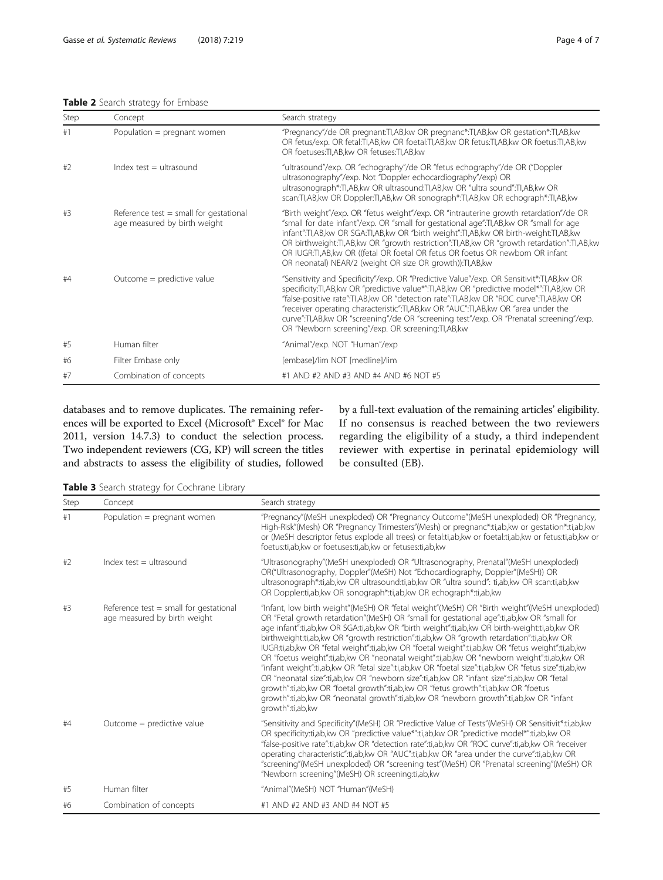<span id="page-3-0"></span>Table 2 Sea

| <b>Table 2</b> Search strategy for Embase |                                                                          |                                                                                                                                                                                                                                                                                                                                                                                                                                                                                                                    |  |  |
|-------------------------------------------|--------------------------------------------------------------------------|--------------------------------------------------------------------------------------------------------------------------------------------------------------------------------------------------------------------------------------------------------------------------------------------------------------------------------------------------------------------------------------------------------------------------------------------------------------------------------------------------------------------|--|--|
| Step                                      | Concept                                                                  | Search strategy                                                                                                                                                                                                                                                                                                                                                                                                                                                                                                    |  |  |
| #1                                        | Population $=$ pregnant women                                            | "Pregnancy"/de OR pregnant:TI,AB,kw OR pregnanc*:TI,AB,kw OR gestation*:TI,AB,kw<br>OR fetus/exp. OR fetal:TI,AB,kw OR foetal:TI,AB,kw OR fetus:TI,AB,kw OR foetus:TI,AB,kw<br>OR foetuses:TI,AB,kw OR fetuses:TI,AB,kw                                                                                                                                                                                                                                                                                            |  |  |
| #2                                        | Index test $=$ ultrasound                                                | "ultrasound"/exp. OR "echography"/de OR "fetus echography"/de OR ("Doppler<br>ultrasonography"/exp. Not "Doppler echocardiography"/exp) OR<br>ultrasonograph*:TI,AB,kw OR ultrasound:TI,AB,kw OR "ultra sound":TI,AB,kw OR<br>scan:TI,AB,kw OR Doppler:TI,AB,kw OR sonograph*:TI,AB,kw OR echograph*:TI,AB,kw                                                                                                                                                                                                      |  |  |
| #3                                        | Reference test $=$ small for gestational<br>age measured by birth weight | "Birth weight"/exp. OR "fetus weight"/exp. OR "intrauterine growth retardation"/de OR<br>"small for date infant"/exp. OR "small for gestational age":TI,AB,kw OR "small for age<br>infant":TI,AB,kw OR SGA:TI,AB,kw OR "birth weight":TI,AB,kw OR birth-weight:TI,AB,kw<br>OR birthweight:TI,AB,kw OR "growth restriction":TI,AB,kw OR "growth retardation":TI,AB,kw<br>OR IUGR:TI,AB, kw OR ((fetal OR foetal OR fetus OR foetus OR newborn OR infant<br>OR neonatal) NEAR/2 (weight OR size OR growth)):TI,AB,kw |  |  |
| #4                                        | Outcome = predictive value                                               | "Sensitivity and Specificity"/exp. OR "Predictive Value"/exp. OR Sensitivit*:TI,AB,kw OR                                                                                                                                                                                                                                                                                                                                                                                                                           |  |  |

OR "Newborn screening"/exp. OR screening:TI,AB,kw

databases and to remove duplicates. The remaining references will be exported to Excel (Microsoft® Excel® for Mac 2011, version 14.7.3) to conduct the selection process. Two independent reviewers (CG, KP) will screen the titles #5 Human filter "Animal"/exp. NOT "Human"/exp #6 Filter Embase only [embase]/lim NOT [medline]/lim #7 Combination of concepts #1 AND #2 AND #3 AND #4 AND #6 NOT #5

and abstracts to assess the eligibility of studies, followed

by a full-text evaluation of the remaining articles' eligibility. If no consensus is reached between the two reviewers regarding the eligibility of a study, a third independent reviewer with expertise in perinatal epidemiology will be consulted (EB).

specificity:TI,AB,kw OR "predictive value\*":TI,AB,kw OR "predictive model\*":TI,AB,kw OR "false-positive rate":TI,AB,kw OR "detection rate":TI,AB,kw OR "ROC curve":TI,AB,kw OR "receiver operating characteristic":TI,AB,kw OR "AUC":TI,AB,kw OR "area under the curve":TI,AB,kw OR "screening"/de OR "screening test"/exp. OR "Prenatal screening"/exp.

Table 3 Search strategy for Cochrane Library

| Step | Concept                                                                  | Search strategy                                                                                                                                                                                                                                                                                                                                                                                                                                                                                                                                                                                                                                                                                                                                                                                                                                                                                                                                                                                    |
|------|--------------------------------------------------------------------------|----------------------------------------------------------------------------------------------------------------------------------------------------------------------------------------------------------------------------------------------------------------------------------------------------------------------------------------------------------------------------------------------------------------------------------------------------------------------------------------------------------------------------------------------------------------------------------------------------------------------------------------------------------------------------------------------------------------------------------------------------------------------------------------------------------------------------------------------------------------------------------------------------------------------------------------------------------------------------------------------------|
| #1   | Population = pregnant women                                              | "Pregnancy"(MeSH unexploded) OR "Pregnancy Outcome"(MeSH unexploded) OR "Pregnancy,<br>High-Risk"(Mesh) OR "Pregnancy Trimesters"(Mesh) or pregnanc*:ti,ab, kw or gestation*:ti,ab, kw<br>or (MeSH descriptor fetus explode all trees) or fetal:ti,ab,kw or foetal:ti,ab,kw or fetus:ti,ab,kw or<br>foetus:ti,ab,kw or foetuses:ti,ab,kw or fetuses:ti,ab,kw                                                                                                                                                                                                                                                                                                                                                                                                                                                                                                                                                                                                                                       |
| #2   | Index $test = ultrasound$                                                | "Ultrasonography"(MeSH unexploded) OR "Ultrasonography, Prenatal"(MeSH unexploded)<br>OR("Ultrasonography, Doppler"(MeSH) Not "Echocardiography, Doppler"(MeSH)) OR<br>ultrasonograph*:ti,ab,kw OR ultrasound:ti,ab,kw OR "ultra sound": ti,ab,kw OR scan:ti,ab,kw<br>OR Doppler:ti,ab, kw OR sonograph*:ti,ab, kw OR echograph*:ti,ab, kw                                                                                                                                                                                                                                                                                                                                                                                                                                                                                                                                                                                                                                                         |
| #3   | Reference test $=$ small for gestational<br>age measured by birth weight | "Infant, low birth weight"(MeSH) OR "fetal weight"(MeSH) OR "Birth weight"(MeSH unexploded)<br>OR "Fetal growth retardation"(MeSH) OR "small for gestational age":ti,ab,kw OR "small for<br>age infant":ti,ab,kw OR SGA:ti,ab,kw OR "birth weight":ti,ab,kw OR birth-weight:ti,ab,kw OR<br>birthweight:ti,ab,kw OR "growth restriction":ti,ab,kw OR "growth retardation":ti,ab,kw OR<br>IUGR:ti,ab, kw OR "fetal weight":ti,ab, kw OR "foetal weight":ti,ab, kw OR "fetus weight":ti,ab, kw<br>OR "foetus weight":ti,ab,kw OR "neonatal weight":ti,ab,kw OR "newborn weight":ti,ab,kw OR<br>infant weight":ti,ab,kw OR "fetal size":ti,ab,kw OR "foetal size":ti,ab,kw OR "fetus size":ti,ab,kw"<br>OR "neonatal size":ti,ab,kw OR "newborn size":ti,ab,kw OR "infant size":ti,ab,kw OR "fetal<br>growth":ti,ab,kw OR "foetal growth":ti,ab,kw OR "fetus growth":ti,ab,kw OR "foetus<br>growth":ti,ab,kw OR "neonatal growth":ti,ab,kw OR "newborn growth":ti,ab,kw OR "infant<br>growth":ti,ab,kw |
| #4   | Outcome = predictive value                                               | "Sensitivity and Specificity"(MeSH) OR "Predictive Value of Tests"(MeSH) OR Sensitivit*:ti,ab,kw<br>OR specificity:ti,ab,kw OR "predictive value*":ti,ab,kw OR "predictive model*":ti,ab,kw OR<br>"false-positive rate":ti,ab,kw OR "detection rate":ti,ab,kw OR "ROC curve":ti,ab,kw OR "receiver<br>operating characteristic":ti,ab,kw OR "AUC":ti,ab,kw OR "area under the curve":ti,ab,kw OR<br>"screening"(MeSH unexploded) OR "screening test"(MeSH) OR "Prenatal screening"(MeSH) OR<br>"Newborn screening"(MeSH) OR screening:ti,ab,kw                                                                                                                                                                                                                                                                                                                                                                                                                                                     |
| #5   | Human filter                                                             | "Animal"(MeSH) NOT "Human"(MeSH)                                                                                                                                                                                                                                                                                                                                                                                                                                                                                                                                                                                                                                                                                                                                                                                                                                                                                                                                                                   |
| #6   | Combination of concepts                                                  | #1 AND #2 AND #3 AND #4 NOT #5                                                                                                                                                                                                                                                                                                                                                                                                                                                                                                                                                                                                                                                                                                                                                                                                                                                                                                                                                                     |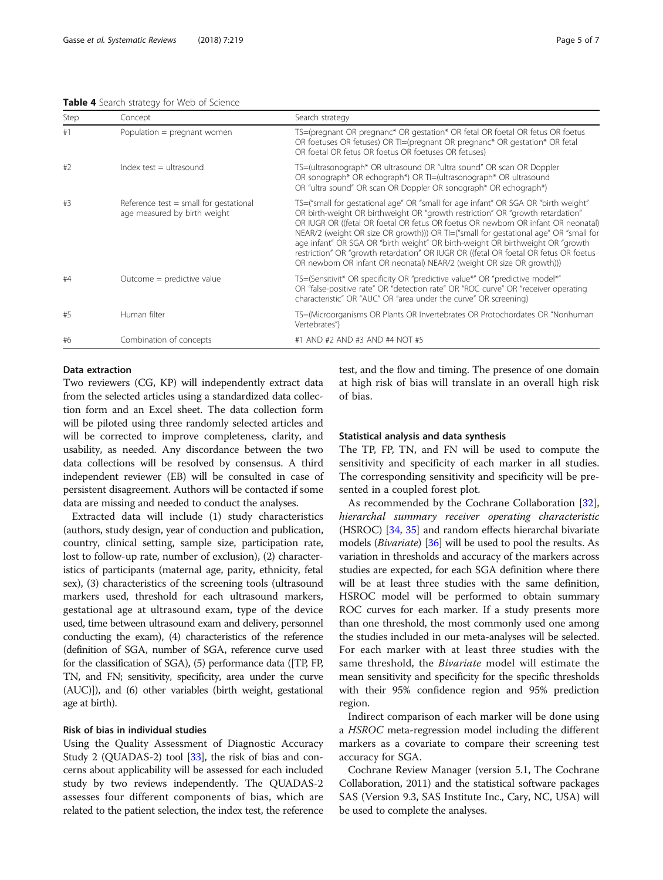<span id="page-4-0"></span>Table 4 Search strategy for Web of Science

| Step | Concept                                                                  | Search strategy                                                                                                                                                                                                                                                                                                                                                                                                                                                                                                                                                                                       |
|------|--------------------------------------------------------------------------|-------------------------------------------------------------------------------------------------------------------------------------------------------------------------------------------------------------------------------------------------------------------------------------------------------------------------------------------------------------------------------------------------------------------------------------------------------------------------------------------------------------------------------------------------------------------------------------------------------|
| #1   | Population = pregnant women                                              | TS=(pregnant OR pregnanc* OR gestation* OR fetal OR foetal OR fetus OR foetus<br>OR foetuses OR fetuses) OR TI=(pregnant OR pregnanc* OR gestation* OR fetal<br>OR foetal OR fetus OR foetus OR foetuses OR fetuses)                                                                                                                                                                                                                                                                                                                                                                                  |
| #2   | Index test $=$ ultrasound                                                | TS=(ultrasonograph* OR ultrasound OR "ultra sound" OR scan OR Doppler<br>OR sonograph* OR echograph*) OR TI=(ultrasonograph* OR ultrasound<br>OR "ultra sound" OR scan OR Doppler OR sonograph* OR echograph*)                                                                                                                                                                                                                                                                                                                                                                                        |
| #3   | Reference test $=$ small for gestational<br>age measured by birth weight | TS=("small for gestational age" OR "small for age infant" OR SGA OR "birth weight"<br>OR birth-weight OR birthweight OR "growth restriction" OR "growth retardation"<br>OR IUGR OR ((fetal OR foetal OR fetus OR foetus OR newborn OR infant OR neonatal)<br>NEAR/2 (weight OR size OR growth))) OR TI=("small for gestational age" OR "small for<br>age infant" OR SGA OR "birth weight" OR birth-weight OR birthweight OR "growth"<br>restriction" OR "growth retardation" OR IUGR OR ((fetal OR foetal OR fetus OR foetus<br>OR newborn OR infant OR neonatal) NEAR/2 (weight OR size OR growth))) |
| #4   | Outcome = predictive value                                               | TS=(Sensitivit* OR specificity OR "predictive value*" OR "predictive model*"<br>OR "false-positive rate" OR "detection rate" OR "ROC curve" OR "receiver operating<br>characteristic" OR "AUC" OR "area under the curve" OR screening)                                                                                                                                                                                                                                                                                                                                                                |
| #5   | Human filter                                                             | TS=(Microorganisms OR Plants OR Invertebrates OR Protochordates OR "Nonhuman"<br>Vertebrates")                                                                                                                                                                                                                                                                                                                                                                                                                                                                                                        |
| #6   | Combination of concepts                                                  | #1 AND #2 AND #3 AND #4 NOT #5                                                                                                                                                                                                                                                                                                                                                                                                                                                                                                                                                                        |

# Data extraction

Two reviewers (CG, KP) will independently extract data from the selected articles using a standardized data collection form and an Excel sheet. The data collection form will be piloted using three randomly selected articles and will be corrected to improve completeness, clarity, and usability, as needed. Any discordance between the two data collections will be resolved by consensus. A third independent reviewer (EB) will be consulted in case of persistent disagreement. Authors will be contacted if some data are missing and needed to conduct the analyses.

Extracted data will include (1) study characteristics (authors, study design, year of conduction and publication, country, clinical setting, sample size, participation rate, lost to follow-up rate, number of exclusion), (2) characteristics of participants (maternal age, parity, ethnicity, fetal sex), (3) characteristics of the screening tools (ultrasound markers used, threshold for each ultrasound markers, gestational age at ultrasound exam, type of the device used, time between ultrasound exam and delivery, personnel conducting the exam), (4) characteristics of the reference (definition of SGA, number of SGA, reference curve used for the classification of SGA), (5) performance data ([TP, FP, TN, and FN; sensitivity, specificity, area under the curve (AUC)]), and (6) other variables (birth weight, gestational age at birth).

#### Risk of bias in individual studies

Using the Quality Assessment of Diagnostic Accuracy Study 2 (QUADAS-2) tool [\[33\]](#page-6-0), the risk of bias and concerns about applicability will be assessed for each included study by two reviews independently. The QUADAS-2 assesses four different components of bias, which are related to the patient selection, the index test, the reference test, and the flow and timing. The presence of one domain at high risk of bias will translate in an overall high risk of bias.

#### Statistical analysis and data synthesis

The TP, FP, TN, and FN will be used to compute the sensitivity and specificity of each marker in all studies. The corresponding sensitivity and specificity will be presented in a coupled forest plot.

As recommended by the Cochrane Collaboration [\[32](#page-6-0)], hierarchal summary receiver operating characteristic (HSROC) [[34](#page-6-0), [35](#page-6-0)] and random effects hierarchal bivariate models (Bivariate) [[36](#page-6-0)] will be used to pool the results. As variation in thresholds and accuracy of the markers across studies are expected, for each SGA definition where there will be at least three studies with the same definition, HSROC model will be performed to obtain summary ROC curves for each marker. If a study presents more than one threshold, the most commonly used one among the studies included in our meta-analyses will be selected. For each marker with at least three studies with the same threshold, the Bivariate model will estimate the mean sensitivity and specificity for the specific thresholds with their 95% confidence region and 95% prediction region.

Indirect comparison of each marker will be done using a HSROC meta-regression model including the different markers as a covariate to compare their screening test accuracy for SGA.

Cochrane Review Manager (version 5.1, The Cochrane Collaboration, 2011) and the statistical software packages SAS (Version 9.3, SAS Institute Inc., Cary, NC, USA) will be used to complete the analyses.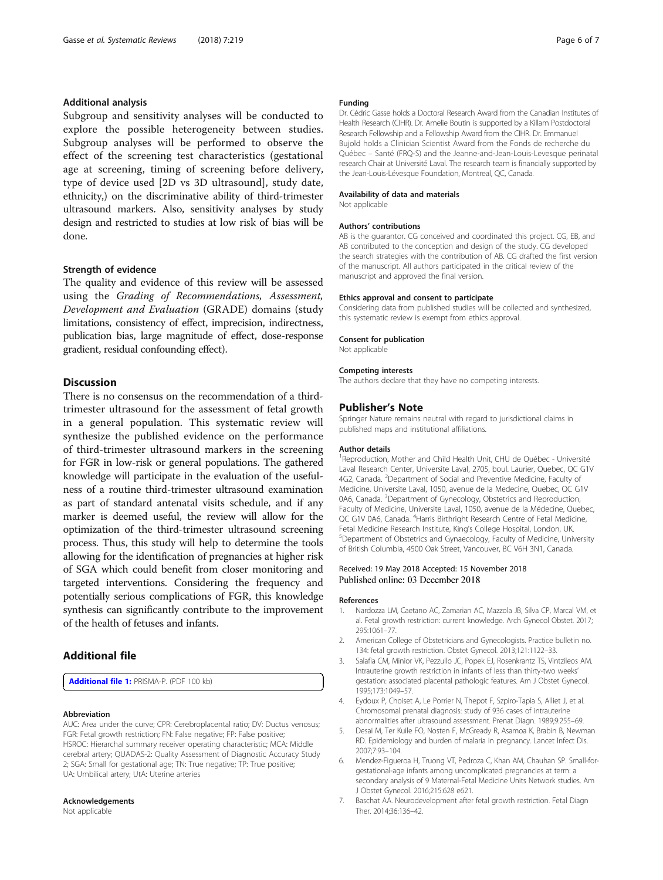# <span id="page-5-0"></span>Additional analysis

Subgroup and sensitivity analyses will be conducted to explore the possible heterogeneity between studies. Subgroup analyses will be performed to observe the effect of the screening test characteristics (gestational age at screening, timing of screening before delivery, type of device used [2D vs 3D ultrasound], study date, ethnicity,) on the discriminative ability of third-trimester ultrasound markers. Also, sensitivity analyses by study design and restricted to studies at low risk of bias will be done.

#### Strength of evidence

The quality and evidence of this review will be assessed using the Grading of Recommendations, Assessment, Development and Evaluation (GRADE) domains (study limitations, consistency of effect, imprecision, indirectness, publication bias, large magnitude of effect, dose-response gradient, residual confounding effect).

# **Discussion**

There is no consensus on the recommendation of a thirdtrimester ultrasound for the assessment of fetal growth in a general population. This systematic review will synthesize the published evidence on the performance of third-trimester ultrasound markers in the screening for FGR in low-risk or general populations. The gathered knowledge will participate in the evaluation of the usefulness of a routine third-trimester ultrasound examination as part of standard antenatal visits schedule, and if any marker is deemed useful, the review will allow for the optimization of the third-trimester ultrasound screening process. Thus, this study will help to determine the tools allowing for the identification of pregnancies at higher risk of SGA which could benefit from closer monitoring and targeted interventions. Considering the frequency and potentially serious complications of FGR, this knowledge synthesis can significantly contribute to the improvement of the health of fetuses and infants.

# Additional file

[Additional file 1:](https://doi.org/10.1186/s13643-018-0885-4) PRISMA-P. (PDF 100 kb)

#### Abbreviation

AUC: Area under the curve; CPR: Cerebroplacental ratio; DV: Ductus venosus; FGR: Fetal growth restriction; FN: False negative; FP: False positive; HSROC: Hierarchal summary receiver operating characteristic; MCA: Middle cerebral artery; QUADAS-2: Quality Assessment of Diagnostic Accuracy Study 2; SGA: Small for gestational age; TN: True negative; TP: True positive; UA: Umbilical artery; UtA: Uterine arteries

#### Acknowledgements

Not applicable

#### Funding

Dr. Cédric Gasse holds a Doctoral Research Award from the Canadian Institutes of Health Research (CIHR). Dr. Amelie Boutin is supported by a Killam Postdoctoral Research Fellowship and a Fellowship Award from the CIHR. Dr. Emmanuel Bujold holds a Clinician Scientist Award from the Fonds de recherche du Québec – Santé (FRQ-S) and the Jeanne-and-Jean-Louis-Levesque perinatal research Chair at Université Laval. The research team is financially supported by the Jean-Louis-Lévesque Foundation, Montreal, QC, Canada.

#### Availability of data and materials

Not applicable

#### Authors' contributions

AB is the guarantor. CG conceived and coordinated this project. CG, EB, and AB contributed to the conception and design of the study. CG developed the search strategies with the contribution of AB. CG drafted the first version of the manuscript. All authors participated in the critical review of the manuscript and approved the final version.

#### Ethics approval and consent to participate

Considering data from published studies will be collected and synthesized, this systematic review is exempt from ethics approval.

#### Consent for publication

Not applicable

#### Competing interests

The authors declare that they have no competing interests.

#### Publisher's Note

Springer Nature remains neutral with regard to jurisdictional claims in published maps and institutional affiliations.

#### Author details

<sup>1</sup> Reproduction, Mother and Child Health Unit, CHU de Québec - Université Laval Research Center, Universite Laval, 2705, boul. Laurier, Quebec, QC G1V 4G2, Canada. <sup>2</sup>Department of Social and Preventive Medicine, Faculty of Medicine, Universite Laval, 1050, avenue de la Medecine, Quebec, QC G1V 0A6, Canada. <sup>3</sup>Department of Gynecology, Obstetrics and Reproduction, Faculty of Medicine, Universite Laval, 1050, avenue de la Médecine, Quebec, QC G1V 0A6, Canada. <sup>4</sup> Harris Birthright Research Centre of Fetal Medicine Fetal Medicine Research Institute, King's College Hospital, London, UK. <sup>5</sup> <sup>5</sup>Department of Obstetrics and Gynaecology, Faculty of Medicine, University of British Columbia, 4500 Oak Street, Vancouver, BC V6H 3N1, Canada.

#### Received: 19 May 2018 Accepted: 15 November 2018 Published online: 03 December 2018

#### References

- 1. Nardozza LM, Caetano AC, Zamarian AC, Mazzola JB, Silva CP, Marcal VM, et al. Fetal growth restriction: current knowledge. Arch Gynecol Obstet. 2017; 295:1061–77.
- 2. American College of Obstetricians and Gynecologists. Practice bulletin no. 134: fetal growth restriction. Obstet Gynecol. 2013;121:1122–33.
- 3. Salafia CM, Minior VK, Pezzullo JC, Popek EJ, Rosenkrantz TS, Vintzileos AM. Intrauterine growth restriction in infants of less than thirty-two weeks' gestation: associated placental pathologic features. Am J Obstet Gynecol. 1995;173:1049–57.
- 4. Eydoux P, Choiset A, Le Porrier N, Thepot F, Szpiro-Tapia S, Alliet J, et al. Chromosomal prenatal diagnosis: study of 936 cases of intrauterine abnormalities after ultrasound assessment. Prenat Diagn. 1989;9:255–69.
- 5. Desai M, Ter Kuile FO, Nosten F, McGready R, Asamoa K, Brabin B, Newman RD. Epidemiology and burden of malaria in pregnancy. Lancet Infect Dis. 2007;7:93–104.
- 6. Mendez-Figueroa H, Truong VT, Pedroza C, Khan AM, Chauhan SP. Small-forgestational-age infants among uncomplicated pregnancies at term: a secondary analysis of 9 Maternal-Fetal Medicine Units Network studies. Am J Obstet Gynecol. 2016;215:628 e621.
- 7. Baschat AA. Neurodevelopment after fetal growth restriction. Fetal Diagn Ther. 2014;36:136–42.